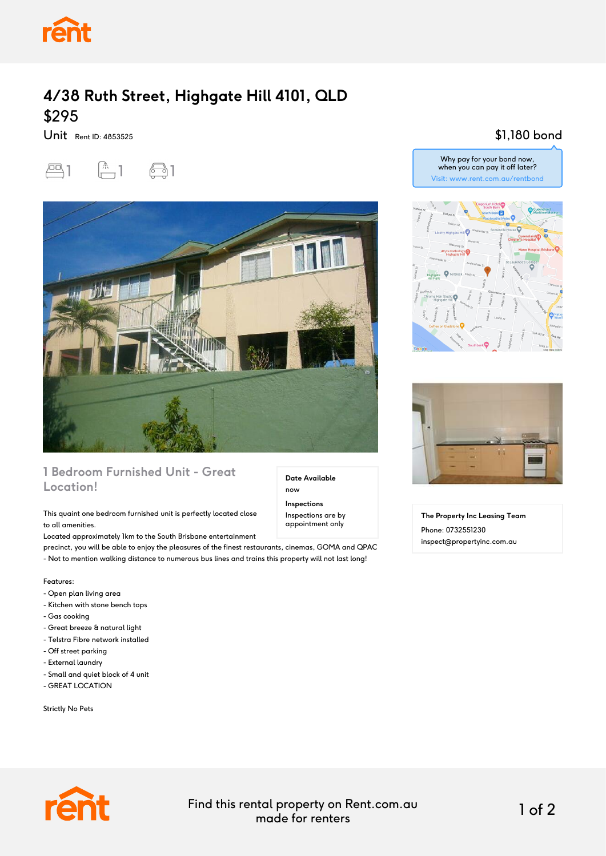

## **4/38 Ruth Street, Highgate Hill 4101, QLD** \$295

Unit Rent ID: 4853525





## **1 Bedroom Furnished Unit - Great Location!**

### This quaint one bedroom furnished unit is perfectly located close to all amenities.

Located approximately 1km to the South Brisbane entertainment

precinct, you will be able to enjoy the pleasures of the finest restaurants, cinemas, GOMA and QPAC

- Not to mention walking distance to numerous bus lines and trains this property will not last long!

Features:

- Open plan living area
- Kitchen with stone bench tops
- Gas cooking
- Great breeze & natural light
- Telstra Fibre network installed
- Off street parking
- External laundry
- Small and quiet block of 4 unit
- GREAT LOCATION

Strictly No Pets



\$1,180 bond





**The Property Inc Leasing Team** Phone: 0732551230 inspect@propertyinc.com.au

Find this rental property on Rent.com.au made for renters 1 of 2

**Date Available**

now **Inspections** Inspections are by appointment only